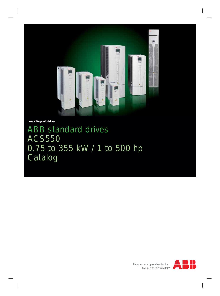

**Low voltage AC drives**

# ABB standard drives ACS550 0.75 to 355 kW / 1 to 500 hp Catalog

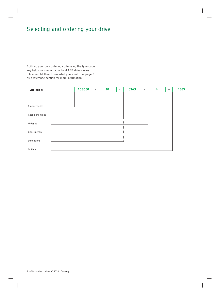### Selecting and ordering your drive

Build up your own ordering code using the type code key below or contact your local ABB drives sales office and let them know what you want. Use page 3 as a reference section for more information.

| Type code:       | <b>ACS550</b> | $\sim$ | 01 | $\sim$ | 03A3 | $\sim$ | 4 | $\! +$ | <b>B055</b> |
|------------------|---------------|--------|----|--------|------|--------|---|--------|-------------|
|                  |               |        |    |        |      |        |   |        |             |
| Product series   |               |        |    |        |      |        |   |        |             |
| Rating and types |               |        |    |        |      |        |   |        |             |
| Voltages         |               |        |    |        |      |        |   |        |             |
| Construction     |               |        |    |        |      |        |   |        |             |
| Dimensions       |               |        |    |        |      |        |   |        |             |
| Options          |               |        |    |        |      |        |   |        |             |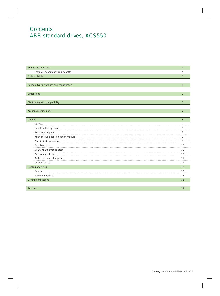### **Contents** ABB standard drives, ACS550

| ABB standard drives                       | $\overline{4}$ |
|-------------------------------------------|----------------|
| Features, advantages and benefits         | $\overline{4}$ |
| Technical data                            | 5              |
|                                           |                |
| Ratings, types, voltages and construction | 6              |
|                                           |                |
| <b>Dimensions</b>                         | $\overline{7}$ |
|                                           |                |
| Electromagnetic compatibility             | $\overline{7}$ |
|                                           |                |
| Assistant control panel                   | 8              |
|                                           |                |
| Options                                   | 8              |
| Options                                   | 8              |
| How to select options                     | 8              |
| Basic control panel                       | 8              |
| Relay output extension option module      | 9              |
| Plug-in fieldbus module                   | 9              |
| FlashDrop tool                            | 10             |
| SREA-01 Ethernet adapter                  | 10             |
| DriveWindow Light                         | 10             |
| Brake units and choppers                  | 11             |
| Output chokes                             | 11             |
| Cooling and fuses                         | 12             |
| Cooling                                   | 12             |
| Fuse connections                          | 12             |
| <b>Control connections</b>                | 13             |
|                                           |                |
|                                           |                |

Services **14 August 2018** - Contract 2018 - Contract 2018 - Contract 2018 - Contract 2018 - Contract 2018 - Contra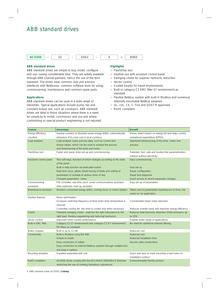### ABB standard drives



#### **ABB standard drives**

ABB standard drives are simple to buy, install, configure and use, saving considerable time. They are widely available through ABB channel partners, hence the use of the term standard. The drives have common user and process interfaces with fieldbuses, common software tools for sizing, commissioning, maintenance and common spare parts.

#### **Applications**

ABB standard drives can be used in a wide range of industries. Typical applications include pump, fan and constant torque use, such as conveyors. ABB standard drives are ideal in those situations where there is a need for simplicity to install, commission and use and where customizing or special product engineering is not required.

### **Highlights**

- − FlashDrop tool
- − Intuitive use with assistant control panel
- − Swinging choke for superior harmonic reduction
- − Vector control
- − Coated boards for harsh environments
- Built-in category C2 EMC filter (1<sup>st</sup> environment) as standard
- − Flexible fieldbus system with built-in Modbus and numerous internally mountable fieldbus adapters
- − UL, cUL, CE, C-Tick and GOST R approved
- − RoHS compliant

| Feature                    | Advantage                                                                               | <b>Benefit</b>                                        |
|----------------------------|-----------------------------------------------------------------------------------------|-------------------------------------------------------|
| Energy efficiency          | Several counters to illustrate saved energy (kWh), carbondioxide                        | Shows direct impact on energy bill and helps control  |
| counters                   | emissions (CO <sub>2</sub> ) and cost in local currency.                                | operational expenditure (OPEX).                       |
| Load analyzer              | Load analyzer saves process data, such as current and                                   | Optimized dimensioning of the drive, motor and        |
|                            | torque values, which can be used to analyze the process                                 | process.                                              |
|                            | and dimensioning of the drive and motor.                                                |                                                       |
| FlashDrop tool             | Faster and easier drive set up and commissioning                                        | Patented, fast, safe and trouble-free parametrization |
|                            |                                                                                         | method without electricity                            |
| Assistant control panel    | Two soft-keys, function of which changes according to the state                         | Easy commissioning                                    |
|                            | of the panel                                                                            |                                                       |
|                            | Built-in help function via dedicated button                                             | Fast set-up                                           |
|                            | Real-time clock, allows timed tracing of faults and setting of                          | Easier configuration                                  |
|                            | parameters to activate at various times of day                                          | Rapid fault diagnosis                                 |
|                            | Changed parameters - menu                                                               | Quick access to recent parameter changes              |
| Commissioning              | PID controller, real-time clock, serial communications assistant,                       | Easy set up of parameters                             |
| assistants                 | drive optimizer, start-up assistant                                                     |                                                       |
| Maintenance assistant      | Monitors consumed energy (kWh), running hours or motor rotation                         | Takes care of preventative maintenance of drive, the  |
|                            |                                                                                         | motor or run application                              |
| Intuitive features         | Noise optimisation                                                                      |                                                       |
|                            | Increases switching frequency of drive when drive temperature is                        | Considerable motor noise reduction                    |
|                            | reduced                                                                                 |                                                       |
|                            | Controlled cooling fan: the drive is cooled only when necessary                         | Reduces inverter noise and improves energy efficiency |
| Choke                      | Patented swinging choke - matches the right inductance to the                           | Reduces total harmonic distortion (THD) emissions up  |
|                            | right load, thereby suppressing and reducing harmonics                                  | to 25%                                                |
| Vector control             | Improved motor control performance                                                      | Enables wider range of applications                   |
| <b>Built-in EMC filter</b> | Category C2 (1 <sup>st</sup> environment) and category C3 (2 <sup>nd</sup> environment) | No need for additional external filtering             |
|                            | RFI filters as standard                                                                 |                                                       |
| Brake chopper              | Built-in up to 11 kW                                                                    | Reduced cost                                          |
| Connectivity               | Built-in Modbus using EIA-485                                                           | Reduced cost                                          |
|                            | Simple to install:                                                                      | Reduced installation time                             |
|                            | Easy connection of cables                                                               | Secure cable connections                              |
|                            | Easy connection to external fieldbus systems through multiple I/Os                      |                                                       |
|                            | and plug-in options                                                                     |                                                       |
| Mounting template          | Supplied separately with unit                                                           | Quick and easy to mark mounting screw holes on        |
|                            |                                                                                         | installation surface                                  |
| RoHS compliant             | ACS550 drives comply with the EU's RoHS 2002/95/CE Directive                            | Environmentally friendly product                      |
|                            | restricting the use of certaing hazardous substances                                    |                                                       |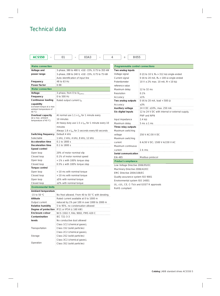### Technical data

| <b>ACS550</b>                              | 03A3<br>01                                                             | <b>B055</b><br>4<br>$\ddot{}$            |                                                              |  |
|--------------------------------------------|------------------------------------------------------------------------|------------------------------------------|--------------------------------------------------------------|--|
|                                            |                                                                        |                                          |                                                              |  |
| <b>Mains connection</b>                    |                                                                        | Programmable control connections         |                                                              |  |
| Voltage and                                | 3-phase, 380 to 480 V, +10/ -15%, 0.75 to 355 kW                       | Two analog inputs                        |                                                              |  |
| power range                                | 3-phase, 208 to 240 V, +10/ -15%, 0.75 to 75 kW                        | Voltage signal                           | 0 (2) to 10 V, $R_{\text{in}} > 312$ k $\Omega$ single-ended |  |
|                                            | Auto-identification of input line                                      | Current signal                           | 0 (4) to 20 mA, $R_{\text{in}} = 100 \Omega$ single-ended    |  |
| Frequency<br>Power factor                  | 48 to 63 Hz<br>0.98                                                    | Potentiometer                            | 10 V $\pm$ 2% max. 10 mA, $R$ < 10 k $\Omega$                |  |
| <b>Motor connection</b>                    |                                                                        | reference value<br>Maximum delay         |                                                              |  |
| Voltage                                    | 3-phase, from 0 to $U_{\text{supp} \mid Y}$                            | Resolution                               | 12 to 32 ms<br>0.1%                                          |  |
| Frequency                                  | 0 to 500 Hz                                                            |                                          | ±1%                                                          |  |
| Continuous loading                         | Rated output current $I_{2N}$                                          | Accuracy<br>Two analog outputs           | 0 (4) to 20 mA, load < 500 $\Omega$                          |  |
| capability                                 |                                                                        |                                          | ±3%                                                          |  |
| (constant torque at a max                  |                                                                        | Accuracy<br>Auxiliary voltage            | 24 V DC ±10%, max. 250 mA                                    |  |
| ambient temperature of<br>40 $^{\circ}$ C) |                                                                        | Six digital inputs                       | 12 to 24 V DC with internal or external supply,              |  |
| Overload capacity                          | At normal use 1.1 x $I_{2N}$ for 1 minute every                        |                                          | PNP and NPN                                                  |  |
| (at a max. ambient                         | 10 minutes                                                             |                                          | 2.4 $k\Omega$                                                |  |
| temperature of 40 $°C$ )                   | At heavy-duty use 1.5 x $I_{2hd}$ for 1 minute every 10                | Input impedance<br>Maximum delay         |                                                              |  |
|                                            | minutes                                                                | Three relay outputs                      | $5 ms \pm 1 ms$                                              |  |
|                                            |                                                                        | Maximum switching                        |                                                              |  |
| Switching frequency                        | Always 1.8 x $I_{2hd}$ for 2 seconds every 60 seconds<br>Default 4 kHz | voltage                                  |                                                              |  |
| Selectable                                 | 1 kHz, 2 kHz, 4 kHz, 8 kHz, 12 kHz                                     |                                          | 250 V AC/30 V DC                                             |  |
| <b>Acceleration time</b>                   | 0.1 to 1800 s                                                          | Maximum switching                        |                                                              |  |
| Deceleration time                          | 0.1 to 1800 s                                                          | current                                  | 6 A/30 V DC; 1500 V A/230 V AC                               |  |
| Speed control                              |                                                                        | Maximum continuous                       |                                                              |  |
| Open loop                                  | 20% of motor nominal slip                                              | current<br>Serial communication          | 2 A rms                                                      |  |
| Closed loop                                | 0.1% of motor nominal speed                                            | EIA-485                                  | Modbus protocol                                              |  |
| Open loop                                  | < 1% s with 100% torque step                                           | <b>Product compliance</b>                |                                                              |  |
| Closed loop                                | 0.5% s with 100% torque step                                           | Low Voltage Directive 2006/95/EC         |                                                              |  |
| Torque control                             |                                                                        | Machinery Directive 2006/42/EC           |                                                              |  |
| Open loop                                  | < 10 ms with nominal torque                                            | EMC Directive 2004/108/EC                |                                                              |  |
| Closed loop                                | < 10 ms with nominal torque                                            | Quality assurance system ISO 9001        |                                                              |  |
| Open loop                                  | ±5% with nominal torque                                                | Environmental system ISO 14001           |                                                              |  |
| Closed loop                                | $\pm 2\%$ with nominal torque                                          | UL, cUL, CE, C-Tick and GOST R approvals |                                                              |  |
| <b>Environmental limits</b>                |                                                                        | RoHS compliant                           |                                                              |  |
| Ambient temperature                        |                                                                        |                                          |                                                              |  |
| $-15$ to 50 °C                             | No frost allowed. From 40 to 50 °C with derating.                      |                                          |                                                              |  |
| Altitude                                   | Rated current available at 0 to 1000 m                                 |                                          |                                                              |  |
| Output current                             | reduced by 1% per 100 m over 1000 to 2000 m                            |                                          |                                                              |  |
| Relative humidity                          | 5 to 95%, no condensation allowed                                      |                                          |                                                              |  |
| Degree of protection                       | IP21 or IP54 (≤ 160 kW)                                                |                                          |                                                              |  |
| Enclosure colour                           | NCS 1502-Y, RAL 9002, PMS 420 C                                        |                                          |                                                              |  |
| Contamination                              | IEC 721-3-3                                                            |                                          |                                                              |  |
| levels                                     | No conductive dust allowed                                             |                                          |                                                              |  |
|                                            | Class 1C2 (chemical gases),                                            |                                          |                                                              |  |
| Transportation                             | Class 1S2 (solid particles)                                            |                                          |                                                              |  |
|                                            | Class 2C2 (chemical gases),                                            |                                          |                                                              |  |
| Storage                                    | Class 2S2 (solid particles)                                            |                                          |                                                              |  |
|                                            | Class 3C2 (chemical gases),                                            |                                          |                                                              |  |
| Operation                                  | Class 3S2 (solid particles)                                            |                                          |                                                              |  |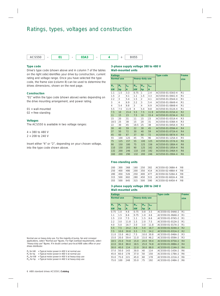### Ratings, types, voltages and construction



#### **Type code**

Drive's type code (shown above and in column 7 of the tables on the right side) identifies your drive by construction, current rating and voltage range. Once you have selected the type code, the frame size (column 8) can be used to determine the drives dimensions, shown on the next page.

#### **Construction**

"01" within the type code (shown above) varies depending on the drive mounting arrangement, and power rating.

 $01 =$  wall-mounted

02 = free-standing

#### **Voltages**

The ACS550 is available in two voltage ranges:

4 = 380 to 480 V  $2 = 208$  to 240 V

Insert either "4" or "2", depending on your chosen voltage, into the type code shown above.

#### **3-phase supply voltage 380 to 480 V Wall-mounted units**

| <b>Ratings</b> |                   |              |                |                 |           | <b>Type code</b> | Frame          |
|----------------|-------------------|--------------|----------------|-----------------|-----------|------------------|----------------|
|                | <b>Normal use</b> |              |                | Heavy-duty use  |           |                  | size           |
| $P_{N}$        | $P_{N}$           | $I_{2N}$     | $P_{\rm hd}$   | $P_{\text{hd}}$ | $I_{2hd}$ |                  |                |
| kW             | hp                | $\mathsf{A}$ | kW             | hp              | A         |                  |                |
| 1.1            | 1.5               | 3.3          | 0.75           | 1               | 2.4       | ACS550-01-03A3-4 | R1             |
| 1.5            | 2                 | 4.1          | 1.1            | 1.5             | 3.3       | ACS550-01-04A1-4 | R <sub>1</sub> |
| 2.2            | 3                 | 5.4          | 1.5            | $\mathfrak{D}$  | 4.1       | ACS550-01-05A4-4 | R1             |
| 3              | 4                 | 6.9          | 2.2            | 3               | 5.4       | ACS550-01-06A9-4 | R <sub>1</sub> |
| $\overline{4}$ | 5.4               | 8.8          | 3              | $\overline{4}$  | 6.9       | ACS550-01-08A8-4 | R <sub>1</sub> |
| 5.5            | 7.5               | 11.9         | $\overline{4}$ | 5.4             | 8.8       | ACS550-01-012A-4 | R <sub>1</sub> |
| 7.5            | 10                | 15.4         | 5.5            | 7.5             | 11.9      | ACS550-01-015A-4 | R <sub>2</sub> |
| 11             | 15                | 23           | 7.5            | 10              | 15.4      | ACS550-01-023A-4 | R <sub>2</sub> |
| 15             | 20                | 31           | 11             | 15              | 23        | ACS550-01-031A-4 | R <sub>3</sub> |
| 18.5           | 25                | 38           | 15             | 20              | 31        | ACS550-01-038A-4 | R <sub>3</sub> |
| 22             | 30                | 45           | 18.5           | 25              | 38        | ACS550-01-045A-4 | R <sub>3</sub> |
| 30             | 40                | 59           | 22             | 30              | 45        | ACS550-01-059A-4 | R4             |
| 37             | 50                | 72           | 30             | 40              | 59        | ACS550-01-072A-4 | R <sub>4</sub> |
| 45             | 60                | 87           | 37             | 60              | 72        | ACS550-01-087A-4 | R <sub>4</sub> |
| 55             | 100               | 125          | 45             | 75              | 96        | ACS550-01-125A-4 | R <sub>5</sub> |
| 75             | 125               | 157          | 55             | 100             | 125       | ACS550-01-157A-4 | R <sub>6</sub> |
| 90             | 150               | 180          | 75             | 125             | 156       | ACS550-01-180A-4 | R <sub>6</sub> |
| 110            | 150               | 205          | 90             | 125             | 162       | ACS550-01-195A-4 | R6             |
| 132            | 200               | 246          | 110            | 150             | 192       | ACS550-01-246A-4 | R6             |
| 160            | 200               | 290          | 132            | 200             | 246       | ACS550-01-290A-4 | R <sub>6</sub> |

#### **Free-standing units**

|  |  |  | 200 300 368 160 250 302 ACS550-02-368A-4 R8                        |  |
|--|--|--|--------------------------------------------------------------------|--|
|  |  |  | 250 400 486 200 350 414 ACS550-02-486A-4 R8                        |  |
|  |  |  | 280 1450 1526 1250 1400 1477 1ACS550-02-526A-4 1R8                 |  |
|  |  |  | $315$ $1500$ $1602$ $1280$ $1450$ $1515$ $14CSS50-02-602A-4$ $1R8$ |  |
|  |  |  | 355 1500 1645 1315 1500 1590 1ACS550-02-645A-4 1R8                 |  |

#### **3-phase supply voltage 208 to 240 V Wall-mounted units**

| <b>Ratings</b> |                   |          |                |                 |           | <b>Type code</b> | Frame          |
|----------------|-------------------|----------|----------------|-----------------|-----------|------------------|----------------|
|                | <b>Normal use</b> |          | Heavy-duty use |                 |           |                  | size           |
| $P_{N}$        | $P_{N}$           | $I_{2N}$ | $P_{\rm hd}$   | $P_{\text{hd}}$ | $I_{2hd}$ |                  |                |
| kW             | hp                | A        | kW             | hp              | A         |                  |                |
| 0.75           | 1.0               | 4.6      | 0.75           | 0.8             | 3.5       | ACS550-01-04A6-2 | R1             |
| 1.1            | 1.5               | 6.6      | 0.75           | 1.0             | 4.6       | ACS550-01-06A6-2 | R1             |
| 1.5            | 2.0               | 7.5      | 1.1            | 1.5             | 6.6       | ACS550-01-07A5-2 | R1             |
| 2.2            | 3.0               | 11.8     | 1.5            | 2.0             | 7.5       | ACS550-01-012A-2 | R1             |
| 4.0            | 5.0               | 16.7     | 3.0            | 3.0             | 11.8      | ACS550-01-017A-2 | R1             |
| 5.5            | 7.5               | 24.2     | 4.0            | 5.0             | 16.7      | ACS550-01-024A-2 | R <sub>2</sub> |
| 7.5            | 10.0              | 30.8     | 5.5            | 7.5             | 24.2      | ACS550-01-031A-2 | R <sub>2</sub> |
| 11.0           | 15.0              | 46.2     | 7.5            | 10.0            | 30.8      | ACS550-01-046A-2 | R <sub>3</sub> |
| 15.0           | 20.0              | 59.4     | 11.0           | 15.0            | 46.2      | ACS550-01-059A-2 | R <sub>3</sub> |
| 18.5           | 25.0              | 74.8     | 15.0           | 20.0            | 59.4      | ACS550-01-075A-2 | R <sub>4</sub> |
| 22.0           | 30.0              | 88.0     | 18.5           | 25.0            | 74.8      | ACS550-01-088A-2 | R <sub>4</sub> |
| 30.0           | 40.0              | 114      | 22.0           | 30.0            | 88.0      | ACS550-01-114A-2 | R4             |
| 37.0           | 50.0              | 143      | 30.0           | 40              | 114       | ACS550-01-143A-2 | R <sub>6</sub> |
| 45.0           | 60.0              | 178      | 37.0           | 50              | 150       | ACS550-01-178A-2 | R6             |
| 55.0           | 75.0              | 221      | 45.0           | 60              | 178       | ACS550-01-221A-2 | R6             |
| 75.0           | 100               | 248      | 55.0           | 75              | 192       | ACS550-01-248A-2 | R6             |

Normal use vs heavy-duty use. For the majority of pump, fan and conveyor applications, select "Normal use" figures. For high overload requirements, select "Heavy-duty use" figures. If in doubt contact your local ABB sales office or your drives distributor.

 $P_N$  for kW = Typical motor power in 400 V at normal use  $P_N$  for hp = Typical motor power in 460 V at normal use

 $P_{\text{hd}}$  for kW = Typical motor power in 400 V at heavy-duty use

 $P_{\text{hd}}$  for hp = Typical motor power in 460 V at heavy-duty use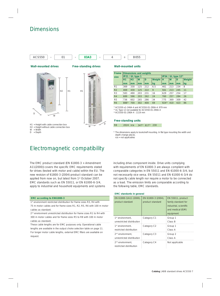### Dimensions





**Wall-mounted drives Free-standing drives**

H1 D

W

- H1 = Height with cable connection box H2 = Height without cable connection box
- 

 $W = W$ idth<br>D = Depth  $=$  Depth

### Electromagnetic compatibility

The EMC product standard (EN 61800-3 + Amendment A11(2000)) covers the specific EMC requirements stated for drives (tested with motor and cable) within the EU. The new revision of 61800-3 (2004) product standard can be applied from now on, but latest from 1st October 2007. EMC standards such as EN 55011, or EN 61000-6-3/4, apply to industrial and household equipments and systems

#### **EMC according to EN61800-3**

1<sup>st</sup> environment restricted distribution for frame sizes R3, R4 with

75 m motor cables and for frame sizes R1, R2, R5, R6 with 100 m motor cables as standard.

2<sup>nd</sup> environment unrestricted distribution for frame sizes R1 to R4 with 300 m motor cables and for frame sizes R5 to R8 with 100 m motor cables as standard.

These cable lengths are for EMC purposes only. Operational cable lengths are available in the output choke selection table on page 11. For longer motor cable lengths, external EMC filters are available on request.

#### **Wall-mounted units**

| <b>Frame</b>   | Dimensions and weights |                  |                 |      |        |           |          |                         |                |
|----------------|------------------------|------------------|-----------------|------|--------|-----------|----------|-------------------------|----------------|
| size           |                        | IP21 / UL type 1 |                 |      |        |           |          | IP54 / UL type $12^{2}$ |                |
|                | H1                     | H <sub>2</sub>   | W               | D    | Weight | н         | <b>W</b> | D                       | Weight         |
|                | mm                     | mm               | mm              | mm   | kg     | mm        | mm       | mm                      | kg             |
| R <sub>1</sub> | 369                    | 330              | 125             | 1212 | 6.5    | 461       | 213      | :234                    | : 8            |
| R <sub>2</sub> | 469                    | 430              | 125             | 222  | i 9    | 561       | 213      | 245                     | 111            |
| R <sub>3</sub> | :583                   | 490              | 203             | 3231 | 16     | 629       | 257      | 354                     | 17             |
| R <sub>4</sub> | 689                    | 596              | 203             | 1262 | 124    | 760       | 257      | 1284                    | $\frac{1}{26}$ |
| R <sub>5</sub> | :736                   | 602              | 265             | :286 | : 34   | 775       | 369      | :309                    | 42             |
| <b>R6</b>      | $ 888^{11} $           | 1700             | $\frac{1}{302}$ | 1400 | 69     | $924^{3}$ | 410      | 1423                    | 86             |

1) ACS550-x1-246A-4 and ACS550-01-290A-4: 979 mm

2) UL Type 12 not available for ACS550-01-290A-4

3) ACS550-01-290A-4 : 1119 mm

#### **Free-standing units**

R8 2024 n/a 347<sup>1</sup> 617<sup>1</sup> 230

 $1)$  The dimensions apply to bookshelf mounting. In flat type mounting the width and depth change places. n/a = not applicablez

including drive component inside. Drive units complying with requirements of EN 61800-3 are always complient with comparable categories in EN 55011 and EN 61000-6-3/4, but not necessarily vice versa. EN 55011 and EN 61000-6-3/4 do not specify cable length nor require a motor to be connected as a load. The emission limits are comparable according to the following table, EMC standards.

**EMC standards in general**

| EN 61800-3/A11 (2000),<br>product standard              | EN 61800-3 (2004),<br>product standard | EN 55011, product<br>family standard for<br>industrial, scientific<br>and medical (ISM)<br>equipment |
|---------------------------------------------------------|----------------------------------------|------------------------------------------------------------------------------------------------------|
| 1 <sup>st</sup> environment.                            | Category C1                            | Group 1                                                                                              |
| unrestricted distribution                               |                                        | Class B                                                                                              |
| 1 <sup>st</sup> environment.                            | Category C2                            | Group 1                                                                                              |
| restricted distribution                                 |                                        | Class A                                                                                              |
| 2 <sup>nd</sup> environment.                            | Category C3                            | Group 2                                                                                              |
| unrestricted distribution                               |                                        | Class A                                                                                              |
| 2 <sup>nd</sup> environment.<br>restricted distribution | Category C4                            | Not applicable                                                                                       |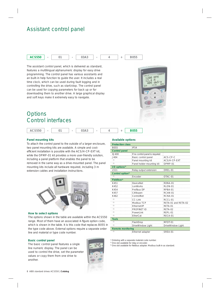### Assistant control panel



The assistant control panel, which is delivered as standard, features a multilingual alphanumeric display for easy drive programming. The control panel has various assistants and an built-in help function to guide the user. It includes a real time clock, which can be used during fault logging and in controlling the drive, such as start/stop. The control panel can be used for copying parameters for back up or for downloading them to another drive. A large graphical display and soft keys make it extremely easy to navigate.

## **Options** Control interfaces



#### **Panel mounting kits**

To attach the control panel to the outside of a larger enclosure, two panel mounting kits are available. A simple and costefficient installation is possible with the ACS/H-CP-EXT kit, while the OPMP-01 kit provides a more user-friendly solution, including a panel platform that enables the panel to be removed in the same way as a drive-mounted panel. The panel mounting kits include all hardware required, including 3 m extension cables and installation instructions.



#### **How to select options**

The options shown in the table are available within the ACS550 range. Most of them have an associated 4-figure option code, which is shown in the table. It is this code that replaces B055 in the type code above. External options require a separate order line and material or type code number.

#### **Basic control panel**

The basic control panel features a single line numeric display. The panel can be used to control the drive, set the parameter values or copy them from one drive to another.

|  | Ą |
|--|---|
|  |   |
|  |   |
|  |   |
|  |   |
|  |   |

#### **Available options**

| <b>Protection class</b>      |                                 |                     |
|------------------------------|---------------------------------|---------------------|
| <b>B055</b>                  | IP <sub>54</sub>                |                     |
| <b>Control panel</b>         |                                 |                     |
| 0J400                        | If no control panel is required |                     |
| J404                         | Basic control panel             | ACS-CP-C            |
| $-1)$                        | Panel mounting kit              | ACS/H-CP-EXT        |
| $-1)$                        | Panel holder mounting kit       | OPMP-01             |
| I/O options <sup>2)</sup>    |                                 |                     |
| 1511                         | Relay output extension          | OREL-01             |
| Control option <sup>2)</sup> |                                 |                     |
| $-1)$                        | Fncoder                         | OTAC-01             |
| Fieldbus <sup>3</sup>        |                                 |                     |
| K451                         | <b>DeviceNet</b>                | RDNA-01             |
| K452                         | LonWorks                        | RLON-01             |
| K454                         | Profibus DP                     | RPBA-01             |
| K457                         | CANopen                         | RCAN-01             |
| K462                         | ControlNet                      | RCNA-01             |
| - 1)                         | CC-Link                         | RCCL-01             |
|                              | Modbus TCP                      | RETA-01 and RETA-02 |
| $-1)$                        | Fthernet/IP                     | RETA-01             |
| . 1)                         | PROFINET IO                     | RETA-02             |
|                              | PowerLink                       | REPL-01             |
| $-1)$                        | EtherCat                        | RECA-01             |
| <b>Tools</b>                 |                                 |                     |
| $-1)$                        | FlashDrop                       | MFDT-01             |
| $-1)$                        | DriveWindow Light               | DriveWindow Light   |
| <b>Remote monitoring</b>     |                                 |                     |
| $-1)$                        | Ethernet adapter                | SREA-01             |

RPM

 $dm3$ 

200

<sup>1)</sup> Ordering with a separate material code number

<sup>2)</sup> One slot available for relay or encoder.

<sup>3)</sup> One slot available for fieldbus adapter. Modbus built-in as standard.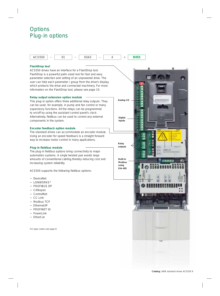### **Options** Plug-in options



#### **FlashDrop tool**

ACS550 drives have an interface for a FlashDrop tool. FlashDrop is a powerful palm sized tool for fast and easy parameter selection and setting of an unpowered drive. The user can hide each parameter / group from the drive's display, which protects the drive and connected machinery. For more information on the FlashDrop tool, please see page 10.

#### **Relay output extension option module**

This plug-in option offers three additional relay outputs. They can be used, for example, in pump and fan control or many supervisory functions. All the relays can be programmed to on/off by using the assistant control panel's clock. Alternatively, fieldbus can be used to control any external components in the system.

#### **Encoder feedback option module**

The standard drives can accommodate an encoder module. Using an encoder for speed feedback is a straight forward way to increase motor control in many applications.

#### **Plug-in fieldbus module**

The plug-in fieldbus options bring connectivity to major automation systems. A single twisted pair avoids large amounts of conventional cabling,thereby reducing cost and increasing system reliability.

ACS550 supports the following fieldbus options:

- − DeviceNet
- − LONWORKS®
- − PROFIBUS DP
- − CANopen
- − ControlNet
- − CC-Link
- − Modbus TCP
- − Ethernet/IP
- − PROFINET IO
- − PowerLink
- − EtherCat

For type codes see page 8

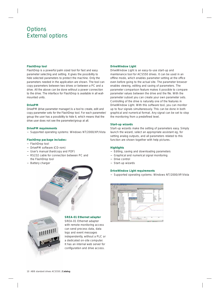### **Options** External options

#### **FlashDrop tool**

FlashDrop is a powerful palm sized tool for fast and easy parameter selecting and setting. It gives the possibility to hide selected parameters to protect the machine. Only the parameters needed in the application are shown. The tool can copy parameters between two drives or between a PC and a drive. All the above can be done without a power connection to the drive. The interface for FlashDrop is available in all wallmounted units.

#### **DrivePM**

DrivePM (drive parameter manager) is a tool to create, edit and copy parameter sets for the FlashDrop tool. For each parameter/ group the user has a possibility to hide it, which means that the drive user does not see the parameter/group at all.

#### **DrivePM requirements**

− Supported operating systems: Windows NT/2000/XP/Vista

#### **FlashDrop package includes:**

- − FlashDrop tool
- − DrivePM software (CD-rom)
- − User's manual (hardcopy and PDF)
- − RS232 cable for connection between PC and the FlashDrop tool
- Battery charger





#### **SREA-01 Ethernet adapter**

SREA-01 Ethernet adapter with remote monitoring access can send process data, data logs and event messages independently, without a PLC or a dedicated on-site computer. It has an internal web server for configuration and drive access.

#### **DriveWindow Light**

DriveWindow Light is an easy-to-use start-up and maintenance tool for ACS550 drives. It can be used in an offline mode, which enables parameter setting at the office even before going to the actual site. The parameter browser enables viewing, editing and saving of parameters. The parameter comparison feature makes it possible to compare parameter values between the drive and the file. With the parameter subset you can create your own parameter sets. Controlling of the drive is naturally one of the features in DriveWindow Light. With this software tool, you can monitor up to four signals simultaneously. This can be done in both graphical and numerical format. Any signal can be set to stop the monitoring from a predefined level.

#### **Start-up wizards**

Start-up wizards make the setting of parameters easy. Simply launch the wizard, select an appropriate assistant eg, for setting analog outputs, and all parameters related to this function are shown together with help pictures.

#### **Highlights**

- − Editing, saving and downloading parameters
- − Graphical and numerical signal monitoring
- − Drive control
- Start-up wizards

#### **DriveWindow Light requirements**

− Supported operating systems: Windows NT/2000/XP/Vista

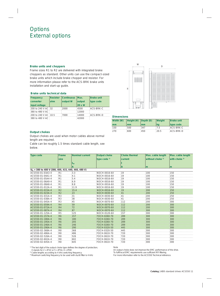### Options External options

#### **Brake units and choppers**

Frame sizes R1 to R2 are delivered with integrated brake choppers as standard. Other units can use the compact-sized brake units which include brake chopper and resistor. For more information please refer to the ACS-BRK brake units installation and start-up guide.

#### **Brake units technical data**

| Frequency            | <b>Resistor</b> | <b>Continuous</b> | Max.   | <b>Brake unit</b> |
|----------------------|-----------------|-------------------|--------|-------------------|
| converter            | ohm             | output W          | output | type code         |
| input voltage        |                 |                   | 20 s W |                   |
| 200 to 240 V AC 32   |                 | 2000              | 4500   | ACS-BRK-C         |
| 380 to 480 V AC i    |                 |                   | 12000  |                   |
| 200 to 240 V AC 10.5 |                 | 17000             | 14000  | ACS-BRK-D         |
| 380 to 480 V AC      |                 |                   | 42000  |                   |



| Width (W) | $ Height(H)$ $ Depth(D)$ |       | <b>Weight</b> | <b>Brake unit</b> |
|-----------|--------------------------|-------|---------------|-------------------|
| mm        | mm                       | mm    | kq            | type code         |
| 150       | 500                      | :347  | 1.5           | ACS-BRK-C         |
| 270       | 600                      | : 450 | 20.5          | ACS-BRK-D         |

#### **Output chokes**

Output chokes are used when motor cables above normal length are required.

Cable can be roughly 1.5 times standard cable length, see below.

| <b>Type code</b>                                               | Frame<br>Nominal current |              | <b>Output choke</b> | <b>Choke thermal</b> | Max. cable length | Max. cable length |  |  |  |  |  |
|----------------------------------------------------------------|--------------------------|--------------|---------------------|----------------------|-------------------|-------------------|--|--|--|--|--|
|                                                                | size                     |              | type code $1$       | current              | without choke $2$ | with choke $3$    |  |  |  |  |  |
|                                                                |                          | $I_{2N}$     |                     |                      |                   |                   |  |  |  |  |  |
|                                                                |                          |              |                     | А                    | m                 | Im                |  |  |  |  |  |
| $U_{\text{N}}$ = 380 to 480 V (380, 400, 415, 440, 460, 480 V) |                          |              |                     |                      |                   |                   |  |  |  |  |  |
| ACS550-01-03A3-4                                               | R1:                      | 3.3          | NOCH-0016-6X        | 19                   | 100               | 150               |  |  |  |  |  |
| ACS550-01-04A1-4                                               | R1                       | 41           | NOCH-0016-6X        | :19                  | 100               | :150              |  |  |  |  |  |
| ACS550-01-05A4-4                                               | R1                       | 5.4          | NOCH-0016-6X        | 19                   | 100               | 150               |  |  |  |  |  |
| ACS550-01-06A9-4                                               | R <sub>1</sub>           | 6.9          | NOCH-0016-6X        | 19                   | 100               | 150               |  |  |  |  |  |
| ACS550-01-08A8-4                                               | R <sub>1</sub>           | 8.8          | NOCH-0016-6X        | 19                   | 100               | 150               |  |  |  |  |  |
| ACS550-01-012A-4                                               | R <sub>1</sub>           | :119         | NOCH-0016-6X        | :19                  | 100               | 150               |  |  |  |  |  |
| ACS550-01-015A-4                                               | R <sub>2</sub>           | 15.4         | <b>NOCH-0016-6X</b> | 19                   | 200               | 1250              |  |  |  |  |  |
| ACS550-01-023A-4                                               | R <sub>2</sub>           | 23           | NOCH-0030-6X        | 41                   | $\frac{200}{200}$ | 250               |  |  |  |  |  |
| ACS550-01-031A-4                                               | R <sub>3</sub>           | ้31          | NOCH-0030-6X        | :41                  | 200               | 250               |  |  |  |  |  |
| ACS550-01-038A-4                                               | R <sub>3</sub>           | 38           | NOCH-0030-6X        | 41                   | 200               | 250               |  |  |  |  |  |
| ACS550-01-045A-4                                               | R3                       | 45           | NOCH-0070-6X        | 112                  | 200               | 300               |  |  |  |  |  |
| ACS550-01-059A-4                                               | R4                       |              | NOCH-0070-6X        | 112                  | 200               | 300               |  |  |  |  |  |
| ACS550-01-072A-4                                               | R4                       | 72           | NOCH-0070-6X        | 112                  | 200               | 300               |  |  |  |  |  |
| ACS550-01-087A-4                                               | R4                       | $rac{1}{87}$ | <b>NOCH-0070-6X</b> | $\frac{1}{112}$      | 300               | 300               |  |  |  |  |  |
| ACS550-01-125A-4                                               | R <sub>5</sub>           | 125          | NOCH-0120-6X        | 157                  | 300               | 300               |  |  |  |  |  |
| ACS550-01-157A-4                                               | <b>R6</b>                | 157          | FOCH-0260-70        | 289                  | 300               | 300               |  |  |  |  |  |
| ACS550-01-180A-4                                               | <b>R6</b>                | 180          | FOCH-0260-70        | 289                  | 300               | 300               |  |  |  |  |  |
| ACS550-01-195A-4                                               | <b>R6</b>                | 205          | FOCH-0260-70        | 289                  | 300               | 300               |  |  |  |  |  |
| ACS550-01-246A-4                                               | R <sub>6</sub>           | 246          | FOCH-0260-70        | 289                  | 300               | 300               |  |  |  |  |  |
| ACS550-01-290A-4                                               | <b>R6</b>                | 290          | FOCH-0320-50        | 445                  | 300               | 300               |  |  |  |  |  |
| ACS550-02-368A-4                                               | R <sub>8</sub>           | 368          | FOCH-0320-50        | 445                  | 300               | 300               |  |  |  |  |  |
| ACS550-02-486A-4                                               | R <sub>8</sub>           | 486          | FOCH-0610-70        | 720                  | 300               | 300               |  |  |  |  |  |
| ACS550-02-526A-4                                               | R8                       | 526          | FOCH-0610-70        | :720                 | 300               | 300               |  |  |  |  |  |
| ACS550-02-602A-4                                               | R <sub>8</sub>           | 602          | FOCH-0610-70        | 720                  | 300               | 300               |  |  |  |  |  |
| ACS550-02-645A-4                                               | :R8                      | 645          | FOCH-0610-70        | 1720                 | 300               | 300               |  |  |  |  |  |

<sup>1)</sup> The last digit of the output choke type defines the degree of protection;

X stands for 2 = IP22 or 5 = IP54, 0 = IP00

<sup>2)</sup> Cable lengths according to 4 kHz switching frequency

<sup>3)</sup> Maximum switching frequency to be used with du/dt filter is 4 kHz

#### Note

An output choke does not improve the EMC performance of the drive. To fulfil local EMC requirements use sufficient RFI filtering. For more information refer to the ACS550 Technical reference.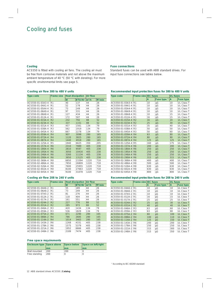### Cooling and fuses

#### **Cooling**

ACS550 is fitted with cooling air fans. The cooling air must be free from corrosive materials and not above the maximum ambient temperature of 40 °C (50 °C with derating). For more specific environmental limits see page 5.

#### **Fuse connections**

Standard fuses can be used with ABB standard drives. For input fuse connections see tables below.

#### **Cooling air flow 380 to 480 V units**

| Type code        | <b>Frame size</b> | <b>Heat dissipation</b> |               | Air flow |                      |  |  |  |
|------------------|-------------------|-------------------------|---------------|----------|----------------------|--|--|--|
|                  |                   | W                       | <b>BTU/Hr</b> | $m^3/h$  | ft <sup>3</sup> /min |  |  |  |
| ACS550-01-03A3-4 | R <sub>1</sub>    | 40                      | 137           | 44       | 26                   |  |  |  |
| ACS550-01-04A1-4 | R1                | 52                      | 178           | 44       | 26                   |  |  |  |
| ACS550-01-05A4-4 | R1                | 73                      | 249           | 44       | 26                   |  |  |  |
| ACS550-01-06A9-4 | R1                | 97                      | 331           | 44       | 26                   |  |  |  |
| ACS550-01-08A8-4 | R1                | 127                     | 434           | 44       | 26                   |  |  |  |
| ACS550-01-012A-4 | R1                | 172                     | 587           | 44       | 26                   |  |  |  |
| ACS550-01-015A-4 | R <sub>2</sub>    | 232                     | 792           | 88       | 52                   |  |  |  |
| ACS550-01-023A-4 | R <sub>2</sub>    | 337                     | 1151          | 88       | 52                   |  |  |  |
| ACS550-01-031A-4 | R <sub>3</sub>    | 457                     | 1561          | 134      | 79                   |  |  |  |
| ACS550-01-038A-4 | R3                | 562                     | 1919          | 134      | 79                   |  |  |  |
| ACS550-01-045A-4 | R3                | 667                     | 2278          | 134      | 79                   |  |  |  |
| ACS550-01-059A-4 | R <sub>4</sub>    | 907                     | 3098          | 280      | 165                  |  |  |  |
| ACS550-01-072A-4 | R <sub>4</sub>    | 1120                    | 3825          | 280      | 165                  |  |  |  |
| ACS550-01-087A-4 | R <sub>4</sub>    | 1440                    | 4918          | 280      | 165                  |  |  |  |
| ACS550-01-125A-4 | R5                | 1940                    | 6625          | 350      | 205                  |  |  |  |
| ACS550-01-157A-4 | R6                | 2310                    | 7889          | 405      | 238                  |  |  |  |
| ACS550-01-180A-4 | R <sub>6</sub>    | 2810                    | 9597          | 405      | 238                  |  |  |  |
| ACS550-01-195A-4 | R6                | 3050                    | 10416         | 405      | 238                  |  |  |  |
| ACS550-01-246A-4 | R <sub>6</sub>    | 3260                    | 11134         | 405      | 238                  |  |  |  |
| ACS550-01-290A-4 | R <sub>6</sub>    | 3850                    | 13125         | 405      | 238                  |  |  |  |
| ACS550-02-368A-4 | R <sub>8</sub>    | 6850                    | 23394         | 1220     | 718                  |  |  |  |
| ACS550-02-486A-4 | R8                | 7850                    | 26809         | 1220     | 718                  |  |  |  |
| ACS550-02-526A-4 | R8                | 7600                    | 25955         | 1220     | 718                  |  |  |  |
| ACS550-02-602A-4 | R <sub>8</sub>    | 8100                    | 27663         | 1220     | 718                  |  |  |  |
| ACS550-02-645A-4 | R8                | 9100                    | 31078         | 1220     | 718                  |  |  |  |

#### **Cooling air flow 208 to 240 V units**

| <b>Type code</b>     | <b>Frame size</b> | <b>Heat dissipation</b> |               | Air flow |                      |  |  |
|----------------------|-------------------|-------------------------|---------------|----------|----------------------|--|--|
|                      |                   | W                       | <b>BTU/Hr</b> | $m^3/h$  | ft <sup>3</sup> /min |  |  |
| ACS550-01-04A6-2 R1  |                   | 55                      | 189           | :44      | :26                  |  |  |
| ACS550-01-06A6-2 R1  |                   | 73                      | :249          | :44      | :26                  |  |  |
| ACS550-01-07A5-2     | IR1               | 81                      | 276           | :44      | 26                   |  |  |
| ACS550-01-012A-2     | IR1               | 118                     | 404           | :44      | :26                  |  |  |
| ACS550-01-017A-2 R1  |                   | 161                     | :551          | :44      | :26                  |  |  |
| ACS550-01-024A-2 iR2 |                   | 227                     | 1776          | 88       | 52                   |  |  |
| ACS550-01-031A-2 iR2 |                   | 285                     | 1973          | 88       | 52                   |  |  |
| ACS550-01-046A-2 R3  |                   | 420                     | :1434         | :134     | :79                  |  |  |
| ACS550-01-059A-2 R3  |                   | 536                     | 1829          | 134      | :79                  |  |  |
| ACS550-01-075A-2 R4  |                   | 671                     | 12290         | 1280     | 165                  |  |  |
| ACS550-01-088A-2 R4  |                   | 786                     | 12685         | 280      | 165                  |  |  |
| ACS550-01-114A-2 R4  |                   | 1014                    | 3463          | 1280     | 165                  |  |  |
| ACS550-01-143A-2 R6  |                   | 1268                    | 4331          | :405     | :238                 |  |  |
| ACS550-01-178A-2 R6  |                   | 1575                    | :5379         | :405     | :238                 |  |  |
| ACS550-01-221A-2 R6  |                   | 1952                    | 6666          | :405     | :238                 |  |  |
| ACS550-01-248A-2 R6  |                   | 2189                    | 7474          | :405     | :238                 |  |  |

#### **Free space requirements**

| Enclosure type Space above |                  | Space below | Space on left/right |
|----------------------------|------------------|-------------|---------------------|
|                            | mm               | mm          | mm                  |
| Wall mounted               | 300 <sup>1</sup> | 3200        |                     |
| Free standing              | 300 <sup>2</sup> |             |                     |

#### **Recommended input protection fuses for 380 to 480 V units**

| <b>Type code</b>      | Frame size IEC fuses |     |                        | <b>UL</b> fuses |                   |  |  |  |
|-----------------------|----------------------|-----|------------------------|-----------------|-------------------|--|--|--|
|                       |                      | A   | Fuse type <sup>"</sup> | A               | Fuse type         |  |  |  |
| ACS550-01-03A3-4 R1   |                      | 10  | gG                     | 10              | UL Class T        |  |  |  |
| ACS550-01-04A1-4   R1 |                      | 10  | qG                     | 10              | UL Class T        |  |  |  |
| ACS550-01-05A4-4 R1   |                      | 10  | gG                     | 10              | UL Class T        |  |  |  |
| ACS550-01-06A9-4   R1 |                      | 10  | gG                     | 10              | UL Class T        |  |  |  |
| ACS550-01-08A8-4   R1 |                      | 10  | qG                     | 15              | UL Class T        |  |  |  |
| ACS550-01-012A-4 R1   |                      | 16  | gG                     | 15              | UL Class T        |  |  |  |
| ACS550-01-015A-4 R2   |                      | 16  | qG                     | 20              | <b>UL Class T</b> |  |  |  |
| ACS550-01-023A-4 R2   |                      | 25  | qG                     | 30              | UL Class T        |  |  |  |
| ACS550-01-031A-4 R3   |                      | 35  | gG                     | 40              | UL Class T        |  |  |  |
| ACS550-01-038A-4 R3   |                      | 50  | gG                     | 50              | UL Class T        |  |  |  |
| ACS550-01-045A-4 R3   |                      | 50  | gG                     | 60              | UL Class T        |  |  |  |
| ACS550-01-059A-4 R4   |                      | 63  | qG                     | 80              | <b>UL Class T</b> |  |  |  |
| ACS550-01-072A-4 R4   |                      | 80  | gG                     | 90              | UL Class T        |  |  |  |
| ACS550-01-087A-4 R4   |                      | 125 | gG                     | 125             | UL Class T        |  |  |  |
| ACS550-01-125A-4 R5   |                      | 160 | qG                     | 175             | UL Class T        |  |  |  |
| ACS550-01-157A-4 R6   |                      | 200 | gG                     | 200             | UL Class T        |  |  |  |
| ACS550-01-180A-4 R6   |                      | 250 | qG                     | 250             | <b>UL Class T</b> |  |  |  |
| ACS550-01-195A-4 R6   |                      | 250 | qG                     | 250             | UL Class T        |  |  |  |
| ACS550-01-246A-4 R6   |                      | 250 | gG                     | 250             | UL Class T        |  |  |  |
| ACS550-01-290A-4 R6   |                      | 315 | gG                     | 315             | <b>UL Class T</b> |  |  |  |
| ACS550-02-368A-4 R8   |                      | 400 | gG                     | 400             | UL Class T        |  |  |  |
| ACS550-02-486A-4 R8   |                      | 500 | gG                     | 500             | UL Class T        |  |  |  |
| ACS550-02-526A-4 R8   |                      | 630 | gG                     | 630             | UL Class T        |  |  |  |
| ACS550-02-602A-4 R8   |                      | 630 | gG                     | 630             | UL Class T        |  |  |  |
| ACS550-02-645A-4 R8   |                      | 800 | gG                     | 800             | <b>UL Class T</b> |  |  |  |

#### **Recommended input protection fuses for 208 to 240 V units**

| <b>Type code</b>    | <b>Frame size IEC fuses</b> |      |                        | <b>UL</b> fuses |                  |  |  |  |
|---------------------|-----------------------------|------|------------------------|-----------------|------------------|--|--|--|
|                     |                             | А    | Fuse type <sup>"</sup> | A               | <b>Fuse type</b> |  |  |  |
| ACS550-01-04A6-2 R1 |                             | 10   | qG                     | 10              | UL Class T       |  |  |  |
| ACS550-01-06A6-2 R1 |                             | 10   | ∶aG                    | 10              | UL Class T       |  |  |  |
| ACS550-01-07A5-2 R1 |                             | 10   | ∶aG                    | 10              | UL Class T       |  |  |  |
| ACS550-01-012A-2 R1 |                             | :16  | ∶aG                    | 15              | UL Class T       |  |  |  |
| ACS550-01-017A-2 R1 |                             | 25   | ∶aG                    | 25              | UL Class T       |  |  |  |
| ACS550-01-024A-2 R2 |                             | 25   | igG                    | 30              | UL Class T       |  |  |  |
| ACS550-01-031A-2 R2 |                             | 40   | igG                    | 40              | UL Class T       |  |  |  |
| ACS550-01-046A-2 R3 |                             | 63   | ∶aG                    | 60              | UL Class T       |  |  |  |
| ACS550-01-059A-2 R3 |                             | 63   | ∶aG                    | 80              | UL Class T       |  |  |  |
| ACS550-01-075A-2 R4 |                             | 80   | igG                    | 100             | UL Class T       |  |  |  |
| ACS550-01-088A-2 R4 |                             | 100  | igG                    | 110             | UL Class T       |  |  |  |
| ACS550-01-114A-2 R4 |                             | 125  | ∶gG                    | 150             | UL Class T       |  |  |  |
| ACS550-01-143A-2 R6 |                             | 200  | ∶aG                    | 200             | UL Class T       |  |  |  |
| ACS550-01-178A-2 R6 |                             | :250 | ∶gG                    | 250             | UL Class T       |  |  |  |
| ACS550-01-221A-2 R6 |                             | 315  | ∶aG                    | 300             | UL Class T       |  |  |  |
| ACS550-01-248A-2 R6 |                             | 315  | ∶gG                    | 350             | UL Class T       |  |  |  |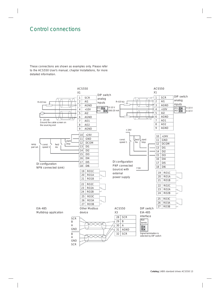### Control connections

These connections are shown as examples only. Please refer to the ACS550 User's manual, chapter Installations, for more detailed information.

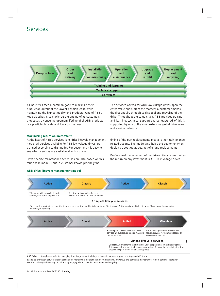### Services



All industries face a common goal: to maximize their production output at the lowest possible cost, while maintaining the highest quality end products. One of ABB's key objectives is to maximize the uptime of its customers' processes by ensuring optimum lifetime of all ABB products in a predictable, safe and low cost manner.

#### **Maximizing return on investment**

At the heart of ABB's services is its drive lifecycle management model. All services available for ABB low voltage drives are planned according to this model. For customers it is easy to see which services are available at which phase.

Drive specific maintenance schedules are also based on this four-phase model. Thus, a customer knows precisely the

The services offered for ABB low voltage drives span the entire value chain, from the moment a customer makes the first enquiry through to disposal and recycling of the drive. Throughout the value chain, ABB provides training and learning, technical support and contracts. All of this is supported by one of the most extensive global drive sales and service networks.

timing of the part replacements plus all other maintenance related actions. The model also helps the customer when deciding about upgrades, retrofits and replacements.

Professional management of the drive's lifecycle maximizes the return on any investment in ABB low voltage drives.

#### **ABB drive lifecycle management model**



This may result in unpredictable process downtime. To avoid this possibility, the drive should be kept in the Active or Classic phase.

ABB follows a four-phase model for managing drive lifecycles, which brings enhanced customer support and improved efficiency.

Examples of lifecycle services are: selection and dimensioning, installation and commissioning, preventive and corrective maintenance, remote services, spare part services, training and learning, technical support, upgrade and retrofit, replacement and recycling.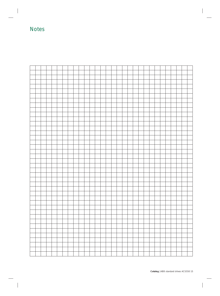### **Notes**